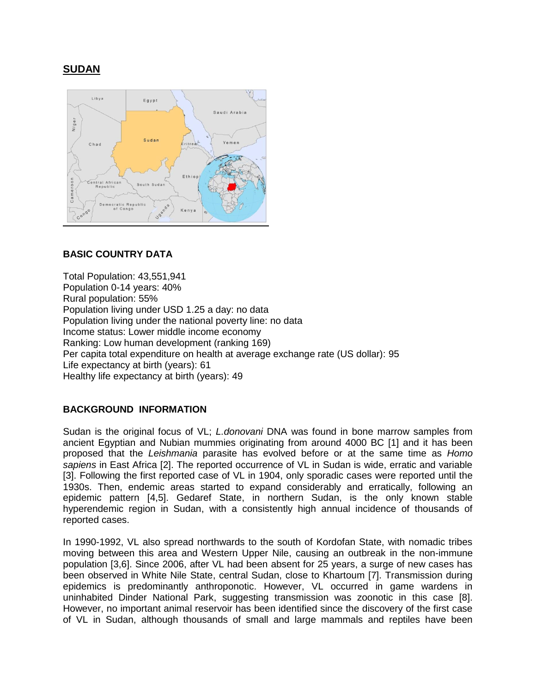# **SUDAN**



## **BASIC COUNTRY DATA**

Total Population: 43,551,941 Population 0-14 years: 40% Rural population: 55% Population living under USD 1.25 a day: no data Population living under the national poverty line: no data Income status: Lower middle income economy Ranking: Low human development (ranking 169) Per capita total expenditure on health at average exchange rate (US dollar): 95 Life expectancy at birth (years): 61 Healthy life expectancy at birth (years): 49

## **BACKGROUND INFORMATION**

Sudan is the original focus of VL; *L.donovani* DNA was found in bone marrow samples from ancient Egyptian and Nubian mummies originating from around 4000 BC [1] and it has been proposed that the *Leishmania* parasite has evolved before or at the same time as *Homo sapiens* in East Africa [2]. The reported occurrence of VL in Sudan is wide, erratic and variable [3]. Following the first reported case of VL in 1904, only sporadic cases were reported until the 1930s. Then, endemic areas started to expand considerably and erratically, following an epidemic pattern [4,5]. Gedaref State, in northern Sudan, is the only known stable hyperendemic region in Sudan, with a consistently high annual incidence of thousands of reported cases.

In 1990-1992, VL also spread northwards to the south of Kordofan State, with nomadic tribes moving between this area and Western Upper Nile, causing an outbreak in the non-immune population [3,6]. Since 2006, after VL had been absent for 25 years, a surge of new cases has been observed in White Nile State, central Sudan, close to Khartoum [7]. Transmission during epidemics is predominantly anthroponotic. However, VL occurred in game wardens in uninhabited Dinder National Park, suggesting transmission was zoonotic in this case [8]. However, no important animal reservoir has been identified since the discovery of the first case of VL in Sudan, although thousands of small and large mammals and reptiles have been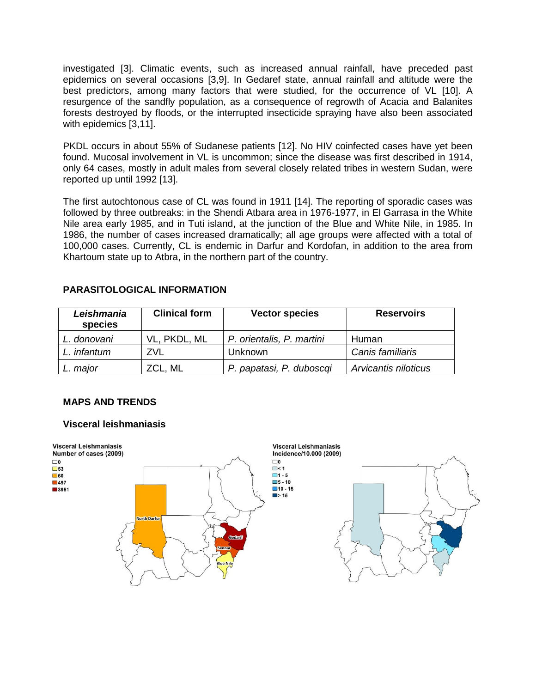investigated [3]. Climatic events, such as increased annual rainfall, have preceded past epidemics on several occasions [3,9]. In Gedaref state, annual rainfall and altitude were the best predictors, among many factors that were studied, for the occurrence of VL [10]. A resurgence of the sandfly population, as a consequence of regrowth of Acacia and Balanites forests destroyed by floods, or the interrupted insecticide spraying have also been associated with epidemics [3,11].

PKDL occurs in about 55% of Sudanese patients [12]. No HIV coinfected cases have yet been found. Mucosal involvement in VL is uncommon; since the disease was first described in 1914, only 64 cases, mostly in adult males from several closely related tribes in western Sudan, were reported up until 1992 [13].

The first autochtonous case of CL was found in 1911 [14]. The reporting of sporadic cases was followed by three outbreaks: in the Shendi Atbara area in 1976-1977, in El Garrasa in the White Nile area early 1985, and in Tuti island, at the junction of the Blue and White Nile, in 1985. In 1986, the number of cases increased dramatically; all age groups were affected with a total of 100,000 cases. Currently, CL is endemic in Darfur and Kordofan, in addition to the area from Khartoum state up to Atbra, in the northern part of the country.

## **PARASITOLOGICAL INFORMATION**

| Leishmania<br>species | <b>Clinical form</b> | <b>Vector species</b>     | <b>Reservoirs</b>    |
|-----------------------|----------------------|---------------------------|----------------------|
| L. donovani           | VL, PKDL, ML         | P. orientalis, P. martini | Human                |
| L. infantum           | ZVL                  | Unknown                   | Canis familiaris     |
| L. major              | ZCL, ML              | P. papatasi, P. duboscgi  | Arvicantis niloticus |

# **MAPS AND TRENDS**

## **Visceral leishmaniasis**

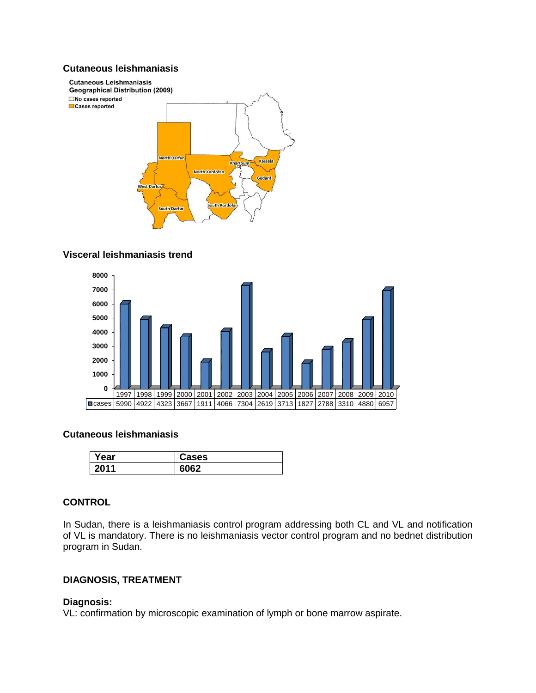## **Cutaneous leishmaniasis**



## **Visceral leishmaniasis trend**



### **Cutaneous leishmaniasis**

| rear | Cases |
|------|-------|
| 2011 | . مي  |

### **CONTROL**

In Sudan, there is a leishmaniasis control program addressing both CL and VL and notification of VL is mandatory. There is no leishmaniasis vector control program and no bednet distribution program in Sudan.

## **DIAGNOSIS, TREATMENT**

## **Diagnosis:**

VL: confirmation by microscopic examination of lymph or bone marrow aspirate.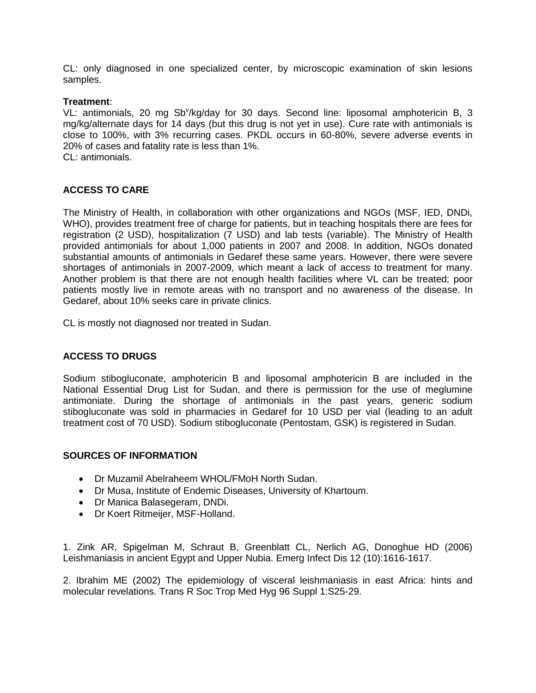CL: only diagnosed in one specialized center, by microscopic examination of skin lesions samples.

#### **Treatment**:

VL: antimonials, 20 mg Sb<sup>v</sup>/kg/day for 30 days. Second line: liposomal amphotericin B, 3 mg/kg/alternate days for 14 days (but this drug is not yet in use). Cure rate with antimonials is close to 100%, with 3% recurring cases. PKDL occurs in 60-80%, severe adverse events in 20% of cases and fatality rate is less than 1%. CL: antimonials.

**ACCESS TO CARE** 

The Ministry of Health, in collaboration with other organizations and NGOs (MSF, IED, DNDi, WHO), provides treatment free of charge for patients, but in teaching hospitals there are fees for registration (2 USD), hospitalization (7 USD) and lab tests (variable). The Ministry of Health provided antimonials for about 1,000 patients in 2007 and 2008. In addition, NGOs donated substantial amounts of antimonials in Gedaref these same years. However, there were severe shortages of antimonials in 2007-2009, which meant a lack of access to treatment for many. Another problem is that there are not enough health facilities where VL can be treated; poor patients mostly live in remote areas with no transport and no awareness of the disease. In Gedaref, about 10% seeks care in private clinics.

CL is mostly not diagnosed nor treated in Sudan.

## **ACCESS TO DRUGS**

Sodium stibogluconate, amphotericin B and liposomal amphotericin B are included in the National Essential Drug List for Sudan, and there is permission for the use of meglumine antimoniate. During the shortage of antimonials in the past years, generic sodium stibogluconate was sold in pharmacies in Gedaref for 10 USD per vial (leading to an adult treatment cost of 70 USD). Sodium stibogluconate (Pentostam, GSK) is registered in Sudan.

#### **SOURCES OF INFORMATION**

- Dr Muzamil Abelraheem WHOL/FMoH North Sudan.
- Dr Musa, Institute of Endemic Diseases, University of Khartoum.
- Dr Manica Balasegeram, DNDi.
- Dr Koert Ritmeijer, MSF-Holland.

1. Zink AR, Spigelman M, Schraut B, Greenblatt CL, Nerlich AG, Donoghue HD (2006) Leishmaniasis in ancient Egypt and Upper Nubia. Emerg Infect Dis 12 (10):1616-1617.

2. Ibrahim ME (2002) The epidemiology of visceral leishmaniasis in east Africa: hints and molecular revelations. Trans R Soc Trop Med Hyg 96 Suppl 1:S25-29.